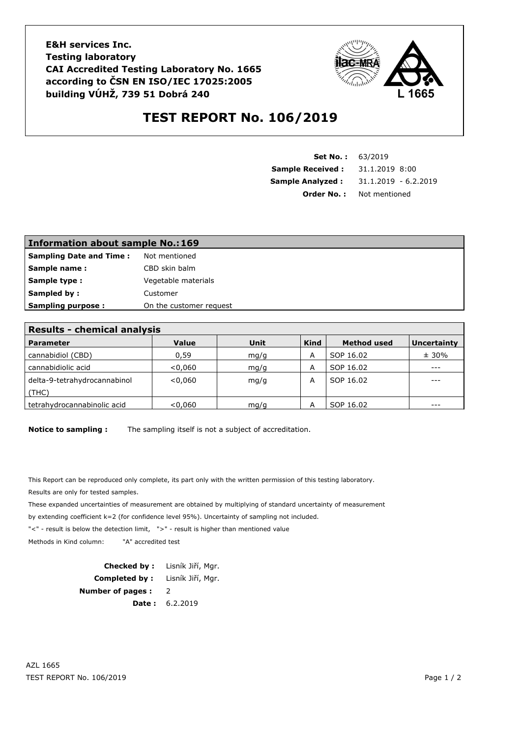**E&H services Inc. Testing laboratory CAI Accredited Testing Laboratory No. 1665 according to ČSN EN ISO/IEC 17025:2005 building VÚHŽ, 739 51 Dobrá 240**



## **TEST REPORT No. 106/2019**

| <b>Set No.: 63/2019</b> |                        |  |  |
|-------------------------|------------------------|--|--|
| <b>Sample Received:</b> | 31.1.2019 8:00         |  |  |
| <b>Sample Analyzed:</b> | $31.1.2019 - 6.2.2019$ |  |  |
| Order No. :             | Not mentioned          |  |  |

| <b>Information about sample No.: 169</b> |                         |  |  |  |
|------------------------------------------|-------------------------|--|--|--|
| <b>Sampling Date and Time:</b>           | Not mentioned           |  |  |  |
| Sample name:                             | CBD skin balm           |  |  |  |
| <b>Sample type:</b>                      | Vegetable materials     |  |  |  |
| Sampled by:                              | Customer                |  |  |  |
| <b>Sampling purpose:</b>                 | On the customer request |  |  |  |

| <b>Results - chemical analysis</b> |         |      |             |                    |                    |  |  |
|------------------------------------|---------|------|-------------|--------------------|--------------------|--|--|
| Parameter                          | Value   | Unit | <b>Kind</b> | <b>Method used</b> | <b>Uncertainty</b> |  |  |
| cannabidiol (CBD)                  | 0,59    | mg/g | A           | SOP 16.02          | ± 30%              |  |  |
| cannabidiolic acid                 | < 0.060 | mq/q | А           | SOP 16.02          | $- - -$            |  |  |
| delta-9-tetrahydrocannabinol       | < 0.060 | mq/q | А           | SOP 16.02          | $- - -$            |  |  |
| (THC)                              |         |      |             |                    |                    |  |  |
| tetrahydrocannabinolic acid        | < 0.060 | mq/q |             | SOP 16.02          |                    |  |  |

**Notice to sampling :** The sampling itself is not a subject of accreditation.

This Report can be reproduced only complete, its part only with the written permission of this testing laboratory. Results are only for tested samples.

These expanded uncertainties of measurement are obtained by multiplying of standard uncertainty of measurement

by extending coefficient k=2 (for confidence level 95%). Uncertainty of sampling not included.

"<" - result is below the detection limit, ">" - result is higher than mentioned value

Methods in Kind column: "A" accredited test

**Checked by :** Lisník Jiří, Mgr. **Completed by :** Lisník Jiří, Mgr. **Number of pages :** 2 **Date :** 6.2.2019